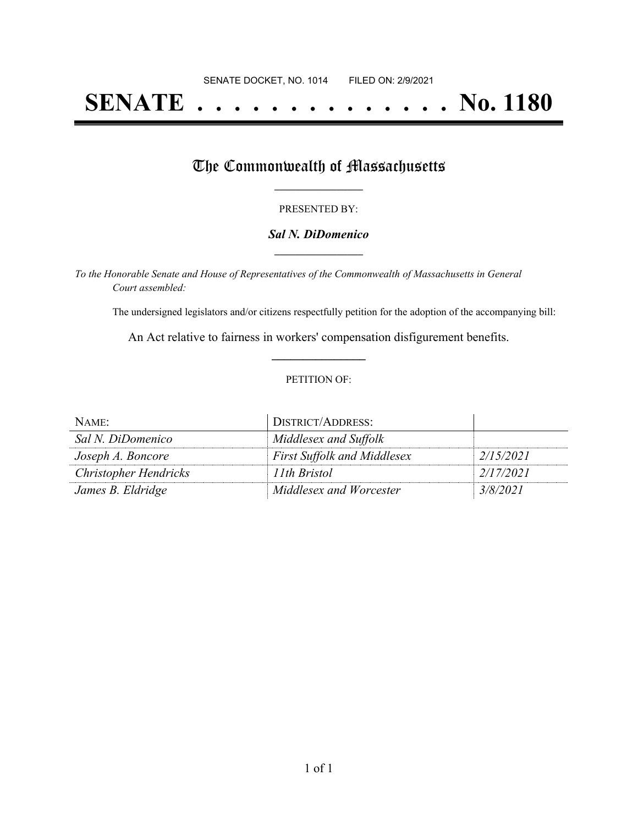# **SENATE . . . . . . . . . . . . . . No. 1180**

## The Commonwealth of Massachusetts

#### PRESENTED BY:

#### *Sal N. DiDomenico* **\_\_\_\_\_\_\_\_\_\_\_\_\_\_\_\_\_**

*To the Honorable Senate and House of Representatives of the Commonwealth of Massachusetts in General Court assembled:*

The undersigned legislators and/or citizens respectfully petition for the adoption of the accompanying bill:

An Act relative to fairness in workers' compensation disfigurement benefits. **\_\_\_\_\_\_\_\_\_\_\_\_\_\_\_**

#### PETITION OF:

| NAME:                        | DISTRICT/ADDRESS:                  |           |
|------------------------------|------------------------------------|-----------|
| Sal N. DiDomenico            | Middlesex and Suffolk              |           |
| Joseph A. Boncore            | <b>First Suffolk and Middlesex</b> | 2/15/2021 |
| <b>Christopher Hendricks</b> | 11th Bristol                       | 2/17/2021 |
| James B. Eldridge            | Middlesex and Worcester            | 3/8/2021  |